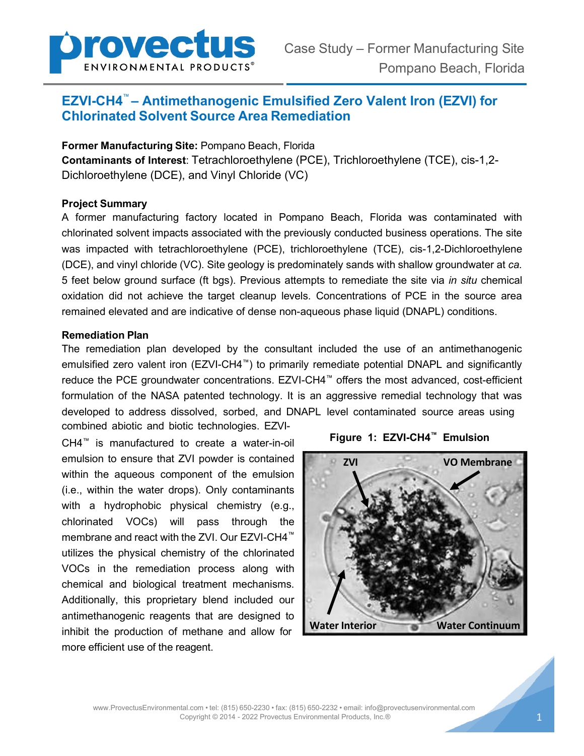

# **EZVI-CH4**™ **– Antimethanogenic Emulsified Zero Valent Iron (EZVI) for Chlorinated Solvent Source Area Remediation**

**Former Manufacturing Site:** Pompano Beach, Florida **Contaminants of Interest**: Tetrachloroethylene (PCE), Trichloroethylene (TCE), cis-1,2- Dichloroethylene (DCE), and Vinyl Chloride (VC)

### **Project Summary**

A former manufacturing factory located in Pompano Beach, Florida was contaminated with chlorinated solvent impacts associated with the previously conducted business operations. The site was impacted with tetrachloroethylene (PCE), trichloroethylene (TCE), cis-1,2-Dichloroethylene (DCE), and vinyl chloride (VC). Site geology is predominately sands with shallow groundwater at *ca.*  5 feet below ground surface (ft bgs). Previous attempts to remediate the site via *in situ* chemical oxidation did not achieve the target cleanup levels. Concentrations of PCE in the source area remained elevated and are indicative of dense non-aqueous phase liquid (DNAPL) conditions.

#### **Remediation Plan**

The remediation plan developed by the consultant included the use of an antimethanogenic emulsified zero valent iron (EZVI-CH4™) to primarily remediate potential DNAPL and significantly reduce the PCE groundwater concentrations. EZVI-CH4™ offers the most advanced, cost-efficient formulation of the NASA patented technology. It is an aggressive remedial technology that was developed to address dissolved, sorbed, and DNAPL level contaminated source areas using combined abiotic and biotic technologies. EZVI-

CH4™ is manufactured to create a water-in-oil emulsion to ensure that ZVI powder is contained within the aqueous component of the emulsion (i.e., within the water drops). Only contaminants with a hydrophobic physical chemistry (e.g., chlorinated VOCs) will pass through the membrane and react with the ZVI. Our EZVI-CH4™ utilizes the physical chemistry of the chlorinated VOCs in the remediation process along with chemical and biological treatment mechanisms. Additionally, this proprietary blend included our antimethanogenic reagents that are designed to inhibit the production of methane and allow for more efficient use of the reagent.



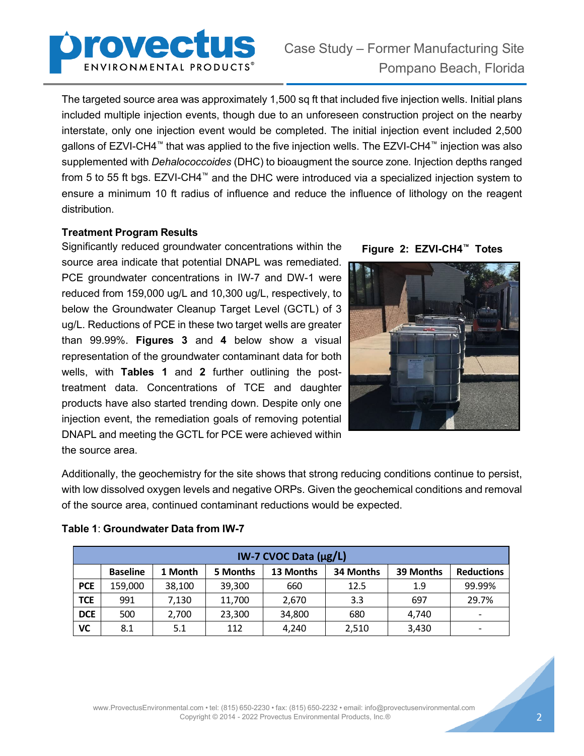

The targeted source area was approximately 1,500 sq ft that included five injection wells. Initial plans included multiple injection events, though due to an unforeseen construction project on the nearby interstate, only one injection event would be completed. The initial injection event included 2,500 gallons of EZVI-CH4™ that was applied to the five injection wells. The EZVI-CH4™ injection was also supplemented with *Dehalococcoides* (DHC) to bioaugment the source zone*.* Injection depths ranged from 5 to 55 ft bgs. EZVI-CH4™ and the DHC were introduced via a specialized injection system to ensure a minimum 10 ft radius of influence and reduce the influence of lithology on the reagent distribution.

## **Treatment Program Results**

Significantly reduced groundwater concentrations within the source area indicate that potential DNAPL was remediated. PCE groundwater concentrations in IW-7 and DW-1 were reduced from 159,000 ug/L and 10,300 ug/L, respectively, to below the Groundwater Cleanup Target Level (GCTL) of 3 ug/L. Reductions of PCE in these two target wells are greater than 99.99%. **Figures 3** and **4** below show a visual representation of the groundwater contaminant data for both wells, with **Tables 1** and **2** further outlining the posttreatment data. Concentrations of TCE and daughter products have also started trending down. Despite only one injection event, the remediation goals of removing potential DNAPL and meeting the GCTL for PCE were achieved within the source area.





Additionally, the geochemistry for the site shows that strong reducing conditions continue to persist, with low dissolved oxygen levels and negative ORPs. Given the geochemical conditions and removal of the source area, continued contaminant reductions would be expected.

| IW-7 CVOC Data $(\mu g/L)$ |                 |         |          |           |           |           |                   |  |  |  |
|----------------------------|-----------------|---------|----------|-----------|-----------|-----------|-------------------|--|--|--|
|                            | <b>Baseline</b> | 1 Month | 5 Months | 13 Months | 34 Months | 39 Months | <b>Reductions</b> |  |  |  |
| <b>PCE</b>                 | 159,000         | 38,100  | 39,300   | 660       | 12.5      | 1.9       | 99.99%            |  |  |  |
| <b>TCE</b>                 | 991             | 7,130   | 11,700   | 2,670     | 3.3       | 697       | 29.7%             |  |  |  |
| <b>DCE</b>                 | 500             | 2,700   | 23,300   | 34,800    | 680       | 4,740     |                   |  |  |  |
| VC                         | 8.1             | 5.1     | 112      | 4,240     | 2,510     | 3,430     |                   |  |  |  |

#### **Table 1**: **Groundwater Data from IW-7**